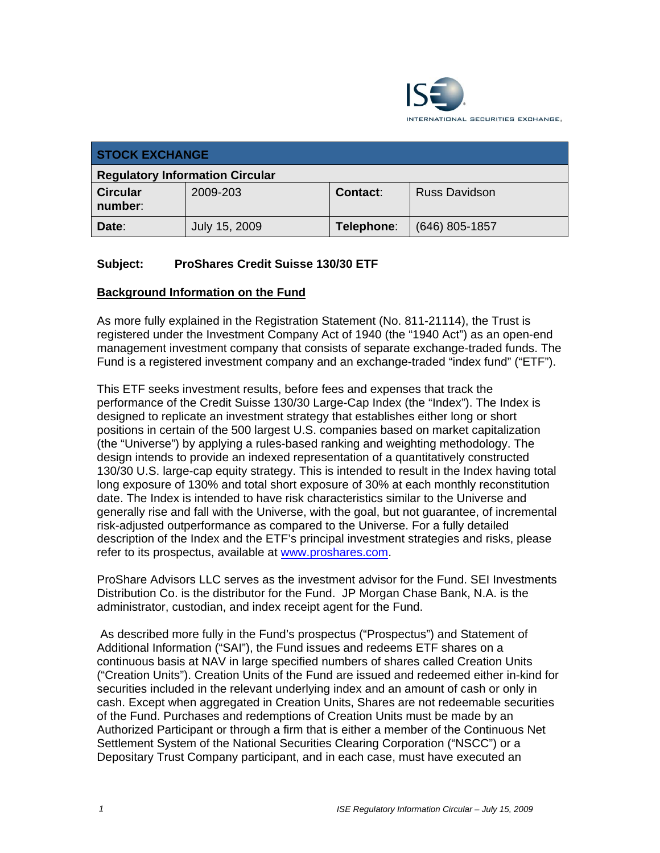

| <b>STOCK EXCHANGE</b>                  |               |            |                      |  |
|----------------------------------------|---------------|------------|----------------------|--|
| <b>Regulatory Information Circular</b> |               |            |                      |  |
| <b>Circular</b><br>number:             | 2009-203      | Contact:   | <b>Russ Davidson</b> |  |
| Date:                                  | July 15, 2009 | Telephone: | $(646)$ 805-1857     |  |

### **Subject: ProShares Credit Suisse 130/30 ETF**

#### **Background Information on the Fund**

As more fully explained in the Registration Statement (No. 811-21114), the Trust is registered under the Investment Company Act of 1940 (the "1940 Act") as an open-end management investment company that consists of separate exchange-traded funds. The Fund is a registered investment company and an exchange-traded "index fund" ("ETF").

This ETF seeks investment results, before fees and expenses that track the performance of the Credit Suisse 130/30 Large-Cap Index (the "Index"). The Index is designed to replicate an investment strategy that establishes either long or short positions in certain of the 500 largest U.S. companies based on market capitalization (the "Universe") by applying a rules-based ranking and weighting methodology. The design intends to provide an indexed representation of a quantitatively constructed 130/30 U.S. large-cap equity strategy. This is intended to result in the Index having total long exposure of 130% and total short exposure of 30% at each monthly reconstitution date. The Index is intended to have risk characteristics similar to the Universe and generally rise and fall with the Universe, with the goal, but not guarantee, of incremental risk-adjusted outperformance as compared to the Universe. For a fully detailed description of the Index and the ETF's principal investment strategies and risks, please refer to its prospectus, available at www.proshares.com.

ProShare Advisors LLC serves as the investment advisor for the Fund. SEI Investments Distribution Co. is the distributor for the Fund. JP Morgan Chase Bank, N.A. is the administrator, custodian, and index receipt agent for the Fund.

 As described more fully in the Fund's prospectus ("Prospectus") and Statement of Additional Information ("SAI"), the Fund issues and redeems ETF shares on a continuous basis at NAV in large specified numbers of shares called Creation Units ("Creation Units"). Creation Units of the Fund are issued and redeemed either in-kind for securities included in the relevant underlying index and an amount of cash or only in cash. Except when aggregated in Creation Units, Shares are not redeemable securities of the Fund. Purchases and redemptions of Creation Units must be made by an Authorized Participant or through a firm that is either a member of the Continuous Net Settlement System of the National Securities Clearing Corporation ("NSCC") or a Depositary Trust Company participant, and in each case, must have executed an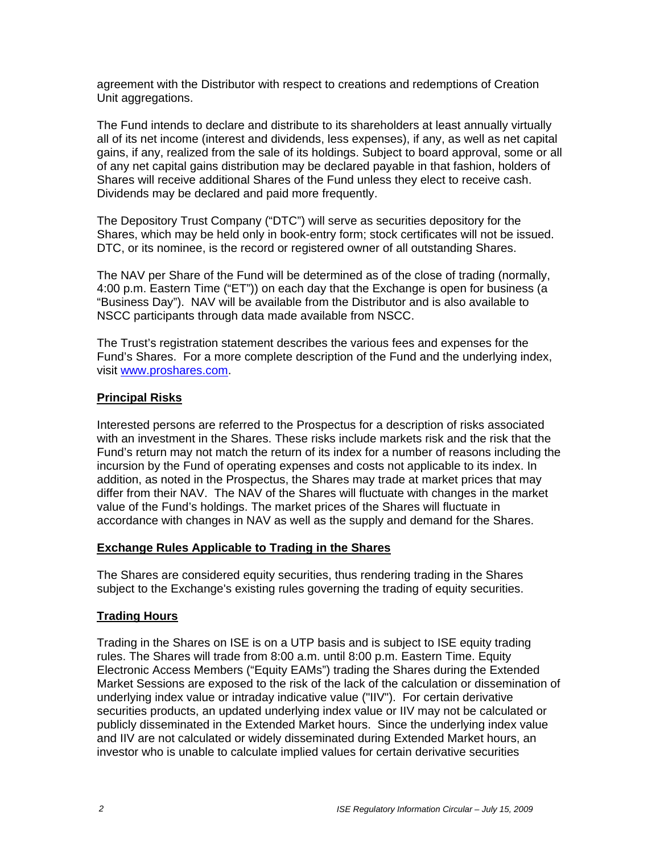agreement with the Distributor with respect to creations and redemptions of Creation Unit aggregations.

The Fund intends to declare and distribute to its shareholders at least annually virtually all of its net income (interest and dividends, less expenses), if any, as well as net capital gains, if any, realized from the sale of its holdings. Subject to board approval, some or all of any net capital gains distribution may be declared payable in that fashion, holders of Shares will receive additional Shares of the Fund unless they elect to receive cash. Dividends may be declared and paid more frequently.

The Depository Trust Company ("DTC") will serve as securities depository for the Shares, which may be held only in book-entry form; stock certificates will not be issued. DTC, or its nominee, is the record or registered owner of all outstanding Shares.

The NAV per Share of the Fund will be determined as of the close of trading (normally, 4:00 p.m. Eastern Time ("ET")) on each day that the Exchange is open for business (a "Business Day"). NAV will be available from the Distributor and is also available to NSCC participants through data made available from NSCC.

The Trust's registration statement describes the various fees and expenses for the Fund's Shares. For a more complete description of the Fund and the underlying index, visit www.proshares.com.

#### **Principal Risks**

Interested persons are referred to the Prospectus for a description of risks associated with an investment in the Shares. These risks include markets risk and the risk that the Fund's return may not match the return of its index for a number of reasons including the incursion by the Fund of operating expenses and costs not applicable to its index. In addition, as noted in the Prospectus, the Shares may trade at market prices that may differ from their NAV. The NAV of the Shares will fluctuate with changes in the market value of the Fund's holdings. The market prices of the Shares will fluctuate in accordance with changes in NAV as well as the supply and demand for the Shares.

#### **Exchange Rules Applicable to Trading in the Shares**

The Shares are considered equity securities, thus rendering trading in the Shares subject to the Exchange's existing rules governing the trading of equity securities.

#### **Trading Hours**

Trading in the Shares on ISE is on a UTP basis and is subject to ISE equity trading rules. The Shares will trade from 8:00 a.m. until 8:00 p.m. Eastern Time. Equity Electronic Access Members ("Equity EAMs") trading the Shares during the Extended Market Sessions are exposed to the risk of the lack of the calculation or dissemination of underlying index value or intraday indicative value ("IIV"). For certain derivative securities products, an updated underlying index value or IIV may not be calculated or publicly disseminated in the Extended Market hours. Since the underlying index value and IIV are not calculated or widely disseminated during Extended Market hours, an investor who is unable to calculate implied values for certain derivative securities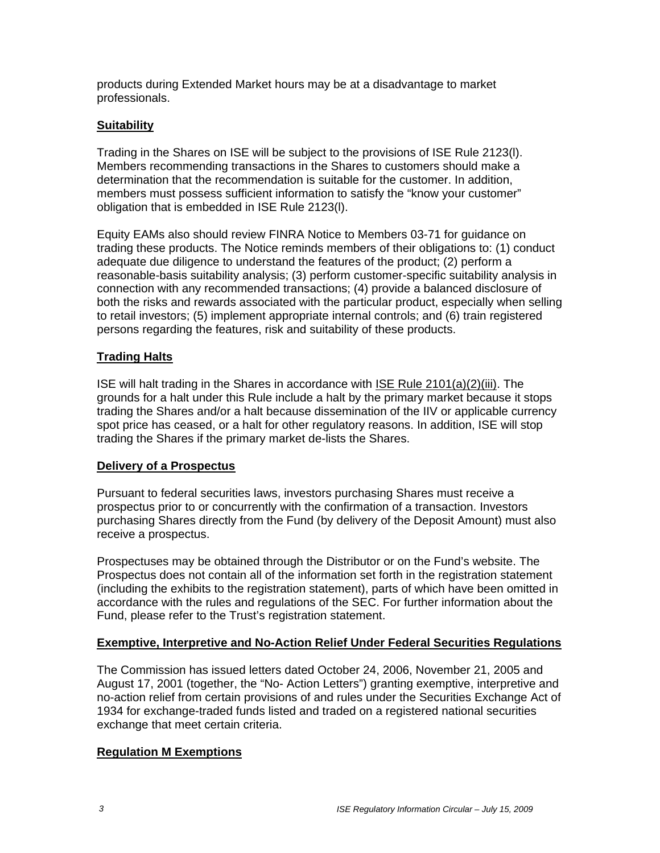products during Extended Market hours may be at a disadvantage to market professionals.

### **Suitability**

Trading in the Shares on ISE will be subject to the provisions of ISE Rule 2123(l). Members recommending transactions in the Shares to customers should make a determination that the recommendation is suitable for the customer. In addition, members must possess sufficient information to satisfy the "know your customer" obligation that is embedded in ISE Rule 2123(l).

Equity EAMs also should review FINRA Notice to Members 03-71 for guidance on trading these products. The Notice reminds members of their obligations to: (1) conduct adequate due diligence to understand the features of the product; (2) perform a reasonable-basis suitability analysis; (3) perform customer-specific suitability analysis in connection with any recommended transactions; (4) provide a balanced disclosure of both the risks and rewards associated with the particular product, especially when selling to retail investors; (5) implement appropriate internal controls; and (6) train registered persons regarding the features, risk and suitability of these products.

#### **Trading Halts**

ISE will halt trading in the Shares in accordance with ISE Rule 2101(a)(2)(iii). The grounds for a halt under this Rule include a halt by the primary market because it stops trading the Shares and/or a halt because dissemination of the IIV or applicable currency spot price has ceased, or a halt for other regulatory reasons. In addition, ISE will stop trading the Shares if the primary market de-lists the Shares.

#### **Delivery of a Prospectus**

Pursuant to federal securities laws, investors purchasing Shares must receive a prospectus prior to or concurrently with the confirmation of a transaction. Investors purchasing Shares directly from the Fund (by delivery of the Deposit Amount) must also receive a prospectus.

Prospectuses may be obtained through the Distributor or on the Fund's website. The Prospectus does not contain all of the information set forth in the registration statement (including the exhibits to the registration statement), parts of which have been omitted in accordance with the rules and regulations of the SEC. For further information about the Fund, please refer to the Trust's registration statement.

#### **Exemptive, Interpretive and No-Action Relief Under Federal Securities Regulations**

The Commission has issued letters dated October 24, 2006, November 21, 2005 and August 17, 2001 (together, the "No- Action Letters") granting exemptive, interpretive and no-action relief from certain provisions of and rules under the Securities Exchange Act of 1934 for exchange-traded funds listed and traded on a registered national securities exchange that meet certain criteria.

#### **Regulation M Exemptions**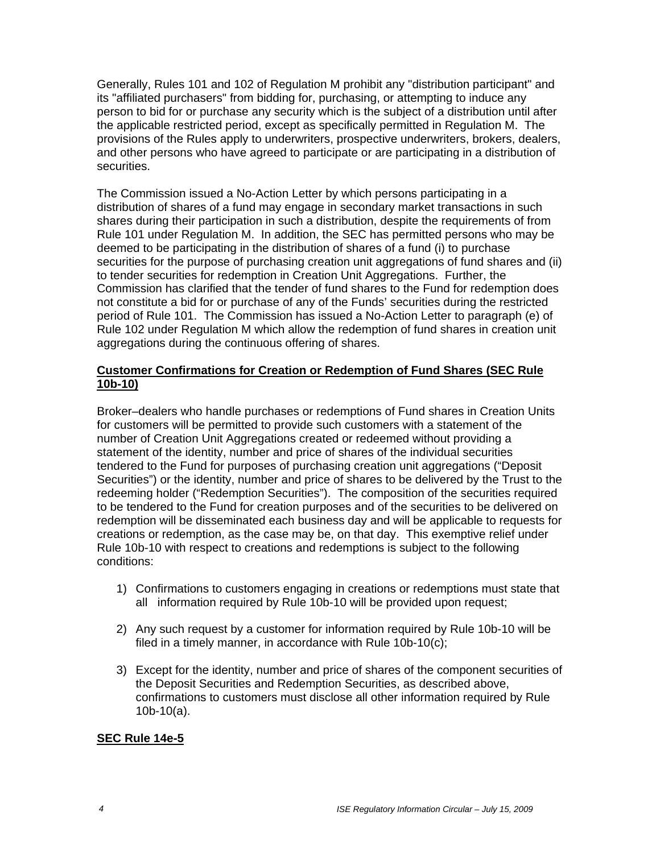Generally, Rules 101 and 102 of Regulation M prohibit any "distribution participant" and its "affiliated purchasers" from bidding for, purchasing, or attempting to induce any person to bid for or purchase any security which is the subject of a distribution until after the applicable restricted period, except as specifically permitted in Regulation M. The provisions of the Rules apply to underwriters, prospective underwriters, brokers, dealers, and other persons who have agreed to participate or are participating in a distribution of securities.

The Commission issued a No-Action Letter by which persons participating in a distribution of shares of a fund may engage in secondary market transactions in such shares during their participation in such a distribution, despite the requirements of from Rule 101 under Regulation M. In addition, the SEC has permitted persons who may be deemed to be participating in the distribution of shares of a fund (i) to purchase securities for the purpose of purchasing creation unit aggregations of fund shares and (ii) to tender securities for redemption in Creation Unit Aggregations. Further, the Commission has clarified that the tender of fund shares to the Fund for redemption does not constitute a bid for or purchase of any of the Funds' securities during the restricted period of Rule 101. The Commission has issued a No-Action Letter to paragraph (e) of Rule 102 under Regulation M which allow the redemption of fund shares in creation unit aggregations during the continuous offering of shares.

#### **Customer Confirmations for Creation or Redemption of Fund Shares (SEC Rule 10b-10)**

Broker–dealers who handle purchases or redemptions of Fund shares in Creation Units for customers will be permitted to provide such customers with a statement of the number of Creation Unit Aggregations created or redeemed without providing a statement of the identity, number and price of shares of the individual securities tendered to the Fund for purposes of purchasing creation unit aggregations ("Deposit Securities") or the identity, number and price of shares to be delivered by the Trust to the redeeming holder ("Redemption Securities"). The composition of the securities required to be tendered to the Fund for creation purposes and of the securities to be delivered on redemption will be disseminated each business day and will be applicable to requests for creations or redemption, as the case may be, on that day. This exemptive relief under Rule 10b-10 with respect to creations and redemptions is subject to the following conditions:

- 1) Confirmations to customers engaging in creations or redemptions must state that all information required by Rule 10b-10 will be provided upon request;
- 2) Any such request by a customer for information required by Rule 10b-10 will be filed in a timely manner, in accordance with Rule 10b-10(c);
- 3) Except for the identity, number and price of shares of the component securities of the Deposit Securities and Redemption Securities, as described above, confirmations to customers must disclose all other information required by Rule 10b-10(a).

#### **SEC Rule 14e-5**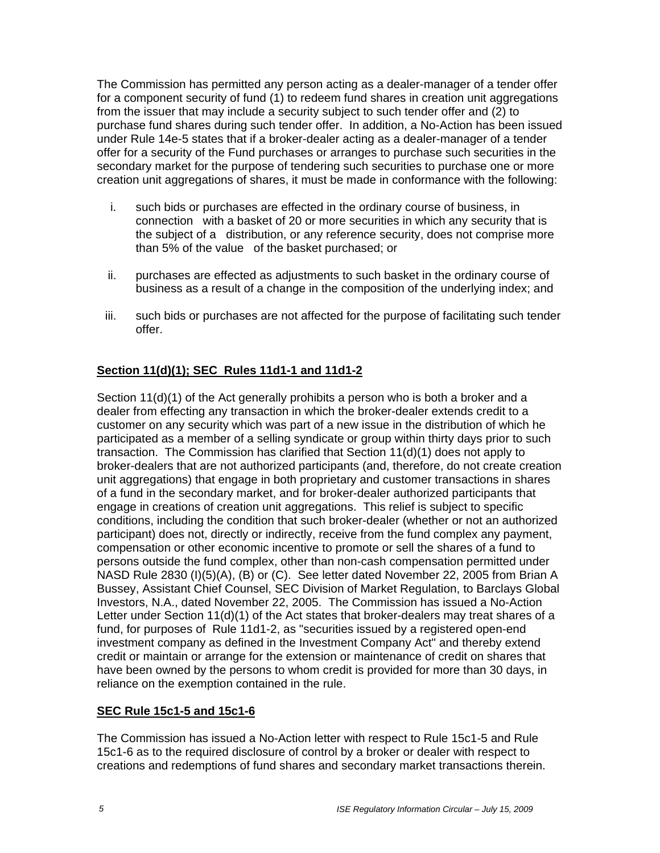The Commission has permitted any person acting as a dealer-manager of a tender offer for a component security of fund (1) to redeem fund shares in creation unit aggregations from the issuer that may include a security subject to such tender offer and (2) to purchase fund shares during such tender offer. In addition, a No-Action has been issued under Rule 14e-5 states that if a broker-dealer acting as a dealer-manager of a tender offer for a security of the Fund purchases or arranges to purchase such securities in the secondary market for the purpose of tendering such securities to purchase one or more creation unit aggregations of shares, it must be made in conformance with the following:

- i. such bids or purchases are effected in the ordinary course of business, in connection with a basket of 20 or more securities in which any security that is the subject of a distribution, or any reference security, does not comprise more than 5% of the value of the basket purchased; or
- ii. purchases are effected as adjustments to such basket in the ordinary course of business as a result of a change in the composition of the underlying index; and
- iii. such bids or purchases are not affected for the purpose of facilitating such tender offer.

## **Section 11(d)(1); SEC Rules 11d1-1 and 11d1-2**

Section 11(d)(1) of the Act generally prohibits a person who is both a broker and a dealer from effecting any transaction in which the broker-dealer extends credit to a customer on any security which was part of a new issue in the distribution of which he participated as a member of a selling syndicate or group within thirty days prior to such transaction. The Commission has clarified that Section 11(d)(1) does not apply to broker-dealers that are not authorized participants (and, therefore, do not create creation unit aggregations) that engage in both proprietary and customer transactions in shares of a fund in the secondary market, and for broker-dealer authorized participants that engage in creations of creation unit aggregations. This relief is subject to specific conditions, including the condition that such broker-dealer (whether or not an authorized participant) does not, directly or indirectly, receive from the fund complex any payment, compensation or other economic incentive to promote or sell the shares of a fund to persons outside the fund complex, other than non-cash compensation permitted under NASD Rule 2830 (I)(5)(A), (B) or (C). See letter dated November 22, 2005 from Brian A Bussey, Assistant Chief Counsel, SEC Division of Market Regulation, to Barclays Global Investors, N.A., dated November 22, 2005. The Commission has issued a No-Action Letter under Section 11(d)(1) of the Act states that broker-dealers may treat shares of a fund, for purposes of Rule 11d1-2, as "securities issued by a registered open-end investment company as defined in the Investment Company Act" and thereby extend credit or maintain or arrange for the extension or maintenance of credit on shares that have been owned by the persons to whom credit is provided for more than 30 days, in reliance on the exemption contained in the rule.

## **SEC Rule 15c1-5 and 15c1-6**

The Commission has issued a No-Action letter with respect to Rule 15c1-5 and Rule 15c1-6 as to the required disclosure of control by a broker or dealer with respect to creations and redemptions of fund shares and secondary market transactions therein.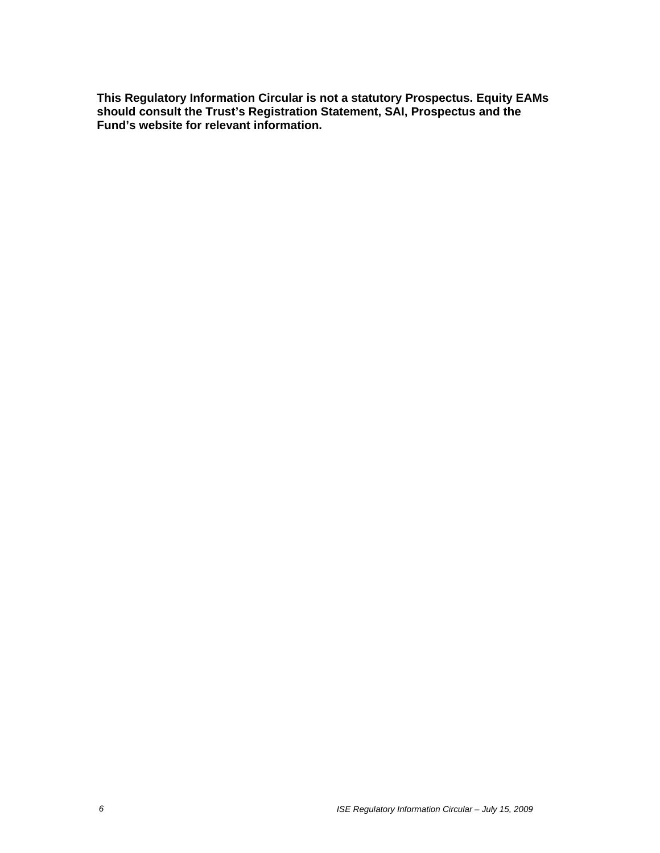**This Regulatory Information Circular is not a statutory Prospectus. Equity EAMs should consult the Trust's Registration Statement, SAI, Prospectus and the Fund's website for relevant information.**